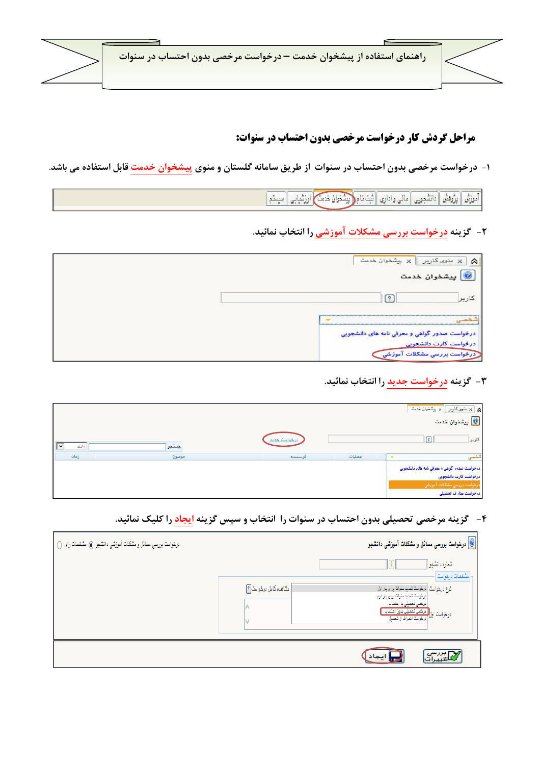

## **مراحل گردش کار درخواست مرخصی بدون احتساب در سنوات:**

۱- درخواست مرخصی بدون احتساب در سنوات از طریق سامانه گلستان و منوی پیشخوان خدمت قابل استفاده می باشد.

[ آموزش | بزروهش | دانشجویی | مالی و اداری | ثبت نام(<mark>اپیشخوان خدمت)</mark> ارزشیابی | سیستم |

**۲**- گزینه درخواست بررسی مشکلات آموزشی را انتخاب نمائید.

| سنوی کاربر $\ \times\ $ پیشخوان خدمت<br>$\approx$                     |
|-----------------------------------------------------------------------|
| <mark>يشخوان خدمت</mark>                                              |
|                                                                       |
|                                                                       |
| درخواست صدور گواهی و معرفی نامه های دانشجویی<br>درخواست کارت دانشجویی |
| .<br>درخواست پررسی مشکلات آ.<br>«موزشی                                |

۳- گزینه درخواست جدید را انتخاب نمائید.

|                      |       |              |        |    | م الله عنوى كارير الله بيشغوان خدمت $\times$ $\times$<br> <br>  ها پیشخوان خدمت                                              |
|----------------------|-------|--------------|--------|----|------------------------------------------------------------------------------------------------------------------------------|
| جارى<br>$\checkmark$ | جنتجو | درخواست حديد |        | ণি | كارير                                                                                                                        |
| زمان                 | موضوع | فرستنده      | عمليات |    | شخصى                                                                                                                         |
|                      |       |              |        |    | درخواست صدور گواهی و معرفی نامه های دانشجویی<br>درخواست كارت دانشجويي<br>درخواست پررسی مشکلات آموزشی<br>درخواست مدارک تحصیلی |

۴ - گزینه مرخصی تحصیلی بدون احتساب در سنوات را انتخاب و سپس گزینه ایجاد را کلیک نمائید.

| درخواست بررسی مسائل و مشکلات آموزشی دانشجو کی مشخصات رای () | <mark>©</mark> درخواست بررسی مسائل و مشکل <b>ات آموژشی دانش</b> جو                                                                                                                                                                               |  |
|-------------------------------------------------------------|--------------------------------------------------------------------------------------------------------------------------------------------------------------------------------------------------------------------------------------------------|--|
|                                                             | شماره دانشجو<br>مشفصات درغواست                                                                                                                                                                                                                   |  |
|                                                             | مشاهده کامل درخواست¶]<br>نوع درخواست  درخواست تمدید سنوات برای بار اول<br>درخواست تمدید سئوات برای بار دوم<br>مرخصی تحصیلی با احتساب<br>درخواست اول <mark> ( عرخصی تحمیلی بدون احتساب</mark><br>درخواست اول <mark>درخواست انمراف از تحمیل</mark> |  |
|                                                             |                                                                                                                                                                                                                                                  |  |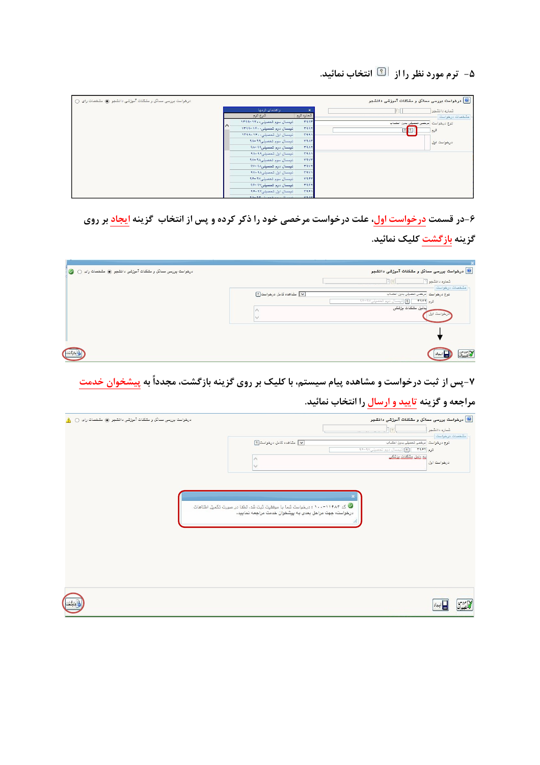## ۵- ترم مورد نظر را از گیل انتخاب نمائید.

| درخواست بررسی مسائل و مشکلات آموزشی دانشجو (@ مشخصات رای () |                                      |             | <mark>©</mark> درخواست بررسی مسائل و مشکلات آموزشی دانشجو |
|-------------------------------------------------------------|--------------------------------------|-------------|-----------------------------------------------------------|
|                                                             | راهنمای ترمها                        | $\times$    | شماره دانشموا                                             |
|                                                             | شرح ترم                              | شماره ترم   | مشخصات درخواست                                            |
|                                                             | نیمسال سوم تحصیلی۱۴۰۰–۱۳۹۹           | raar        | نوع درخواست مرخصی تعصیلی بدون احتساب                      |
|                                                             | نیمسال دوم تحصیلی۱۴۰۰-۱۳۹۹           | <b>TIIT</b> | $\sqrt{2}$<br>ترم                                         |
|                                                             | نیسال اول تحصیلی ۱۴۰۰-۱۳۹۹           | T111        |                                                           |
|                                                             | نيمسال سوم تحصيلى91-م                | <b>TAAT</b> | درخواست اول                                               |
|                                                             | - تیمسال دوم تعصیلی۹۹–۹۸             | <b>TAAT</b> |                                                           |
|                                                             | نیمسال اول تحصیلی۹۹-۹۸               | <b>TIAI</b> |                                                           |
|                                                             | تيمسال سوم تمميلي۱۹۸–۹۷              | <b>TAVY</b> |                                                           |
|                                                             | نیمسال دوم تحصیلی۹۸ -۹۷              | <b>TIVY</b> |                                                           |
|                                                             | نیمسال اول تحصیلی۱۸-۹۷               | <b>TAVI</b> |                                                           |
|                                                             | تيمسال سوم تحصيلى٩٧-٩۶               | <b>TAPT</b> |                                                           |
|                                                             | نیمسال دوم تحصیلی۱۷–۹۴               | 7997        |                                                           |
|                                                             | تیمسال اول تحصیلی۷۷-۹۶               | <b>٣٩۶١</b> |                                                           |
|                                                             | $3\lambda - 39$ $1.25$ $1.25$ $1.25$ | <b>FRAM</b> |                                                           |

۶-در قسمت <mark>درخواست اول</mark>، علت درخواست مرخصی خود را ذکر کرده و پس از انتخاب گزینه <mark>ایجاد</mark> بر روی گزینه <mark>بازگشت</mark> کلیک نمائید.

| درخواست بررسي مسائل و مشكلات آموزشي دانشجو ، مشخصات راي ( ) |                           | .<br><mark>©</mark> درخواست بررسی مسائل و مشکلات آموزشی دانشجو                |
|-------------------------------------------------------------|---------------------------|-------------------------------------------------------------------------------|
|                                                             |                           | شماره دانشجو ا<br>مشممات درخواست                                              |
|                                                             | V مشاهده كامل درخواست [؟] | نوع درخواست مرخص تعصيلى بدون احتساب<br>ترم ٢٩۶٢ - [؟] نيمسال دوم تحصيلي ٢٠٠٢٧ |
|                                                             |                           | بدلیل مشکلات بزشکی<br>درخواست اول                                             |
|                                                             |                           |                                                                               |
|                                                             |                           | $\mathbb{Z}^m$ سرائی                                                          |

۷-پس از ثبت درخواست و مشاهده پیام سیستم، با کلیک بر روی گزینه بازگشت، مجدداً به پیشخوان خدمت

## مراجعه و گزینه <mark>تایید و ارسال</mark> را انتخاب نمائید.

| درخواست بررسي مسائل و مشكلات آموزشي دانشجو ، شخصات راي () | درخواست بررسی مسائل و مشکلات آموزشی دانشجو $\textcircled{\textbf{0}}$<br>19<br>شماره دانشجو                                                                   |
|-----------------------------------------------------------|---------------------------------------------------------------------------------------------------------------------------------------------------------------|
|                                                           | مشخصات درخواست<br>$\sqrt{2}$ مشاهده كامل درخواست<br>توع درخواست   مرخص تحمیلی بدون احتساب<br>ترم ۲۹۴۲ - [؟] انبسال دوم تحصيلي٧-٩٠-٩٠<br>أيد دليل مشكلات يزشكي |
|                                                           | درخواست اول                                                                                                                                                   |
|                                                           |                                                                                                                                                               |
|                                                           | © کد ۱۱۶۸۴–۱۰۰ : درخواست شما با موفقیت ثبت شد. لطفا در صورت تکمیل اطلاعات<br>درخواست، جهت مراحل بعدی به پیشخوان خدمت مراجعه نمایید.                           |
|                                                           |                                                                                                                                                               |
|                                                           |                                                                                                                                                               |
|                                                           |                                                                                                                                                               |
|                                                           |                                                                                                                                                               |
|                                                           |                                                                                                                                                               |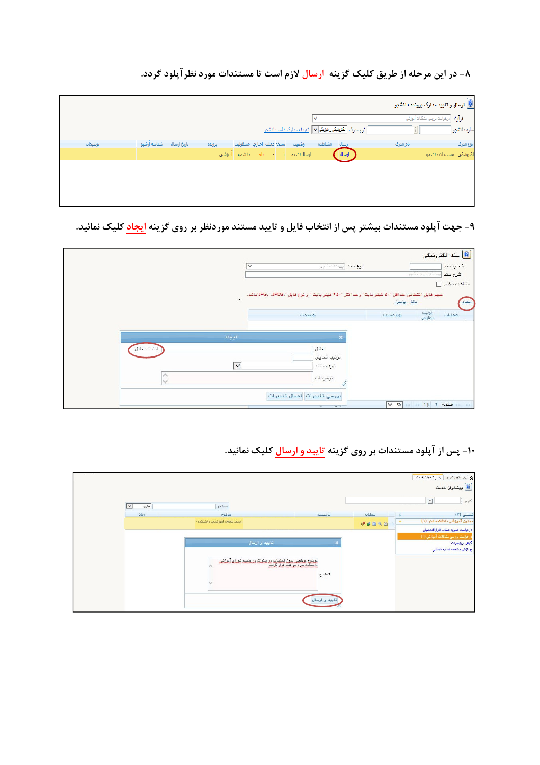۸- در این مرحله از طریق کلیک گزینه ارسال لازم است تا مستندات مورد نظرآپلود گردد.

|         |                         |        |                           |                 |                                                                              |          | ارسال و تایید مدارک پرونده دانشجو $\bigcirc$      |
|---------|-------------------------|--------|---------------------------|-----------------|------------------------------------------------------------------------------|----------|---------------------------------------------------|
|         |                         |        |                           |                 | $\checkmark$                                                                 |          | <mark>فرآیند ا</mark> ترهواست بررسی مشکلات آموزشی |
|         |                         |        |                           |                 | انوع مدرک ا <mark>نکترینیکی_ نیزیکی</mark> v   <u>تعریف مدارک خاص دانشمو</u> |          | لساره دانشجوا                                     |
| توضيحات | تاریخ ارسال شناسه آرشیو | يرونده | نسخه مهلت اجباري امسئوليت | وضعيت           | مشاهده<br>ارسال                                                              | نام مدرک | نوع مدرک                                          |
|         |                         |        | ا • إيله إدانشجو أموزشي - | أرسالا تشده [1] | ارسال                                                                        |          | الكترونيكي أمستندات دانشجو                        |
|         |                         |        |                           |                 |                                                                              |          |                                                   |
|         |                         |        |                           |                 |                                                                              |          |                                                   |
|         |                         |        |                           |                 |                                                                              |          |                                                   |
|         |                         |        |                           |                 |                                                                              |          |                                                   |

۹- جهت آپلود مستندات بیشتر پس از انتخاب فایل و تایید مستند موردنظر بر روی گزینه ایجاد کلیک نمائید.

|             |                | ثوع سند ابرينده دانشجر<br>$\checkmark$                                                         | <mark>.</mark> سند الكترونيكي<br>شماره سند                               |
|-------------|----------------|------------------------------------------------------------------------------------------------|--------------------------------------------------------------------------|
|             | $\blacksquare$ | ممِم فايل انتخابي هدافل "٥٠ كيلو بايت" و هداكثر "٢٥٠ كيلو بايت " و نوع فايل ".JPG, .JPEG"باشد. | امستندات دانشجو<br>شرح سند<br>مشاهده عكس [<br><u>بالل پايين</u><br>امماد |
|             |                | توضيحات                                                                                        | ترتيب<br>نمايش<br>عمليات<br>توع مستند                                    |
|             | انجاد          | $\boldsymbol{\times}$                                                                          |                                                                          |
| انتخاب فابل | ∣∨<br>$\land$  | فايل<br>ترتيب نمايش<br>نوع مستند<br>توضيمات<br>M                                               |                                                                          |
|             |                | بررسي تغييرات أأعمال تغييرات<br>$\sim$ $-$<br>÷.                                               | صفحه 1 از 1 - 10 - 20                                                    |

۱۰- پس از آپلود مستندات بر روی گزینه تایید و ارسال کلیک نمائید.

|                                 |                                |                                                                                              |                        |              | x   منوى كارير   x پيشغوان خدمت  |                |
|---------------------------------|--------------------------------|----------------------------------------------------------------------------------------------|------------------------|--------------|----------------------------------|----------------|
|                                 |                                |                                                                                              |                        |              | <mark>.</mark> پیشخوان خدمت      |                |
| $\overline{\mathbf{v}}$<br>جارى | جستجو                          |                                                                                              |                        |              | C                                | كارير [        |
| ida)                            | موضوع                          |                                                                                              | فرستنده                | عمليات       |                                  | شفصی (۲)       |
|                                 | ررسيي معاونا أموزشتي دانشكده - |                                                                                              |                        | <b>72090</b> | معاون آموزشی دانشکده هنر (۱)     |                |
|                                 |                                |                                                                                              |                        |              | درخواست تسويه حساب فارغ التحصيلي |                |
|                                 |                                | تاييد و ارسال                                                                                |                        |              | درخواست بررسی مشکلات آموزشی (۱)  | گواهي ريزنمرات |
|                                 |                                |                                                                                              |                        |              | يردازش مشاهده شماره داوطلبى      |                |
|                                 |                                | المفهرة منخصر بدين لمتساب در سنعلت در هلسه شعباء ألمنشر.<br>ولتسكيم مورد موافقت قرار المفتر. | توضيع<br>تاييد و ارسال |              |                                  |                |